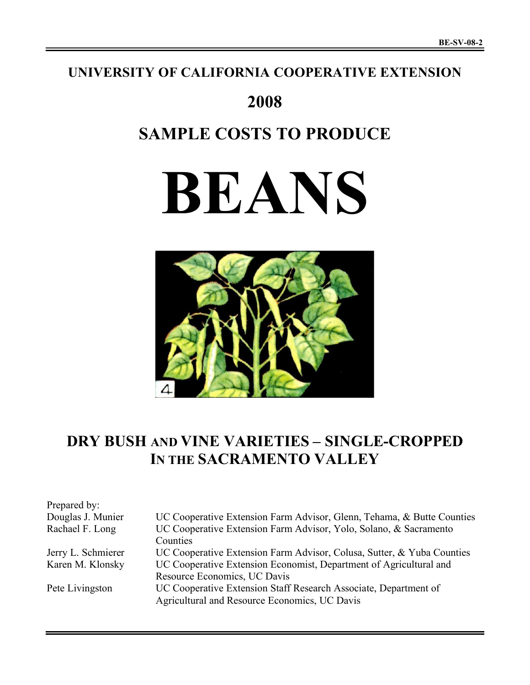## **UNIVERSITY OF CALIFORNIA COOPERATIVE EXTENSION**

# **2008**

# **SAMPLE COSTS TO PRODUCE**

# **BEANS**



## **DRY BUSH AND VINE VARIETIES – SINGLE-CROPPED IN THE SACRAMENTO VALLEY**

| Prepared by:       |                                                                        |
|--------------------|------------------------------------------------------------------------|
| Douglas J. Munier  | UC Cooperative Extension Farm Advisor, Glenn, Tehama, & Butte Counties |
| Rachael F. Long    | UC Cooperative Extension Farm Advisor, Yolo, Solano, & Sacramento      |
|                    | Counties                                                               |
| Jerry L. Schmierer | UC Cooperative Extension Farm Advisor, Colusa, Sutter, & Yuba Counties |
| Karen M. Klonsky   | UC Cooperative Extension Economist, Department of Agricultural and     |
|                    | Resource Economics, UC Davis                                           |
| Pete Livingston    | UC Cooperative Extension Staff Research Associate, Department of       |
|                    | Agricultural and Resource Economics, UC Davis                          |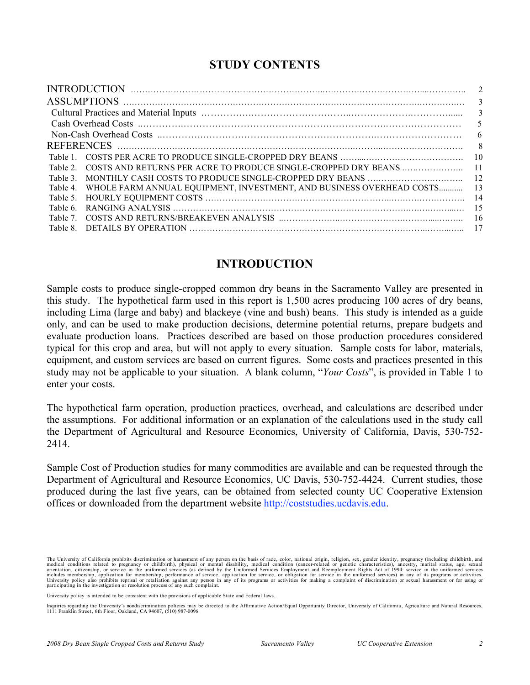## **STUDY CONTENTS**

| $\overline{2}$  |
|-----------------|
| 3               |
| 3               |
| 5               |
| 6               |
| - 8             |
| -10             |
| $\overline{11}$ |
|                 |
| -13             |
| -14             |
| -15             |
| -16             |
| -17             |
|                 |

## **INTRODUCTION**

Sample costs to produce single-cropped common dry beans in the Sacramento Valley are presented in this study. The hypothetical farm used in this report is 1,500 acres producing 100 acres of dry beans, including Lima (large and baby) and blackeye (vine and bush) beans. This study is intended as a guide only, and can be used to make production decisions, determine potential returns, prepare budgets and evaluate production loans. Practices described are based on those production procedures considered typical for this crop and area, but will not apply to every situation. Sample costs for labor, materials, equipment, and custom services are based on current figures. Some costs and practices presented in this study may not be applicable to your situation. A blank column, "*Your Costs*", is provided in Table 1 to enter your costs.

The hypothetical farm operation, production practices, overhead, and calculations are described under the assumptions. For additional information or an explanation of the calculations used in the study call the Department of Agricultural and Resource Economics, University of California, Davis, 530-752- 2414.

Sample Cost of Production studies for many commodities are available and can be requested through the Department of Agricultural and Resource Economics, UC Davis, 530-752-4424. Current studies, those produced during the last five years, can be obtained from selected county UC Cooperative Extension offices or downloaded from the department website http://coststudies.ucdavis.edu.

The University of California prohibits discrimination or harassment of any person on the basis of race, color, national origin, religion, sex, gender identity, pregnancy (including childbirth, and medical conditions relate

University policy is intended to be consistent with the provisions of applicable State and Federal laws.

Inquiries regarding the University's nondiscrimination policies may be directed to the Affirmative Action/Equal Opportunity Director, University of California, Agriculture and Natural Resources,<br>1111 Franklin Street, 6th F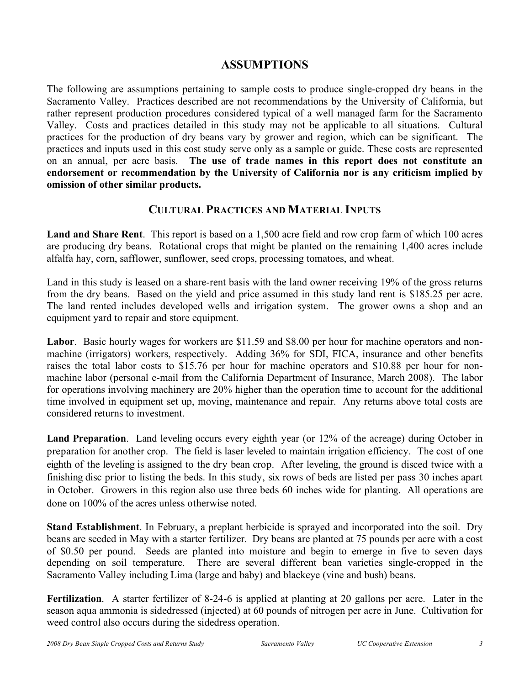## **ASSUMPTIONS**

The following are assumptions pertaining to sample costs to produce single-cropped dry beans in the Sacramento Valley. Practices described are not recommendations by the University of California, but rather represent production procedures considered typical of a well managed farm for the Sacramento Valley. Costs and practices detailed in this study may not be applicable to all situations.Cultural practices for the production of dry beans vary by grower and region, which can be significant. The practices and inputs used in this cost study serve only as a sample or guide. These costs are represented on an annual, per acre basis. **The use of trade names in this report does not constitute an endorsement or recommendation by the University of California nor is any criticism implied by omission of other similar products.**

### **CULTURAL PRACTICES AND MATERIAL INPUTS**

**Land and Share Rent**. This report is based on a 1,500 acre field and row crop farm of which 100 acres are producing dry beans. Rotational crops that might be planted on the remaining 1,400 acres include alfalfa hay, corn, safflower, sunflower, seed crops, processing tomatoes, and wheat.

Land in this study is leased on a share-rent basis with the land owner receiving 19% of the gross returns from the dry beans. Based on the yield and price assumed in this study land rent is \$185.25 per acre. The land rented includes developed wells and irrigation system. The grower owns a shop and an equipment yard to repair and store equipment.

**Labor**. Basic hourly wages for workers are \$11.59 and \$8.00 per hour for machine operators and nonmachine (irrigators) workers, respectively. Adding 36% for SDI, FICA, insurance and other benefits raises the total labor costs to \$15.76 per hour for machine operators and \$10.88 per hour for nonmachine labor (personal e-mail from the California Department of Insurance, March 2008). The labor for operations involving machinery are 20% higher than the operation time to account for the additional time involved in equipment set up, moving, maintenance and repair. Any returns above total costs are considered returns to investment.

**Land Preparation**. Land leveling occurs every eighth year (or 12% of the acreage) during October in preparation for another crop. The field is laser leveled to maintain irrigation efficiency. The cost of one eighth of the leveling is assigned to the dry bean crop. After leveling, the ground is disced twice with a finishing disc prior to listing the beds. In this study, six rows of beds are listed per pass 30 inches apart in October. Growers in this region also use three beds 60 inches wide for planting. All operations are done on 100% of the acres unless otherwise noted.

**Stand Establishment**. In February, a preplant herbicide is sprayed and incorporated into the soil. Dry beans are seeded in May with a starter fertilizer. Dry beans are planted at 75 pounds per acre with a cost of \$0.50 per pound. Seeds are planted into moisture and begin to emerge in five to seven days depending on soil temperature. There are several different bean varieties single-cropped in the Sacramento Valley including Lima (large and baby) and blackeye (vine and bush) beans.

**Fertilization**. A starter fertilizer of 8-24-6 is applied at planting at 20 gallons per acre. Later in the season aqua ammonia is sidedressed (injected) at 60 pounds of nitrogen per acre in June. Cultivation for weed control also occurs during the sidedress operation.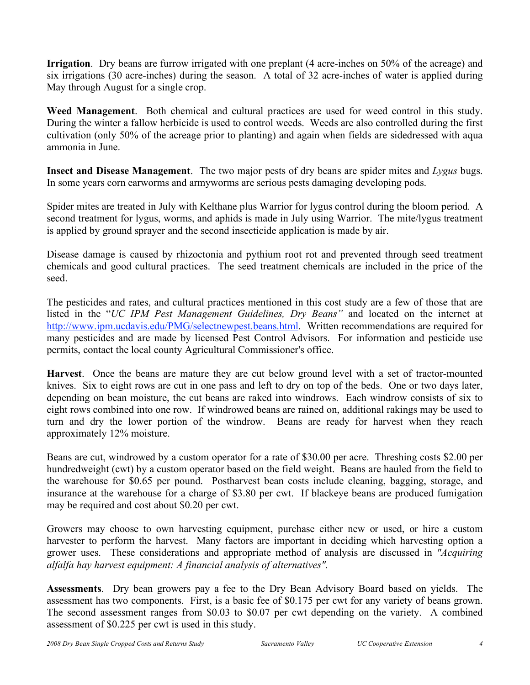**Irrigation**. Dry beans are furrow irrigated with one preplant (4 acre-inches on 50% of the acreage) and six irrigations (30 acre-inches) during the season. A total of 32 acre-inches of water is applied during May through August for a single crop.

**Weed Management**. Both chemical and cultural practices are used for weed control in this study. During the winter a fallow herbicide is used to control weeds. Weeds are also controlled during the first cultivation (only 50% of the acreage prior to planting) and again when fields are sidedressed with aqua ammonia in June.

**Insect and Disease Management**. The two major pests of dry beans are spider mites and *Lygus* bugs. In some years corn earworms and armyworms are serious pests damaging developing pods.

Spider mites are treated in July with Kelthane plus Warrior for lygus control during the bloom period. A second treatment for lygus, worms, and aphids is made in July using Warrior. The mite/lygus treatment is applied by ground sprayer and the second insecticide application is made by air.

Disease damage is caused by rhizoctonia and pythium root rot and prevented through seed treatment chemicals and good cultural practices. The seed treatment chemicals are included in the price of the seed.

The pesticides and rates, and cultural practices mentioned in this cost study are a few of those that are listed in the "*UC IPM Pest Management Guidelines, Dry Beans"* and located on the internet at http://www.ipm.ucdavis.edu/PMG/selectnewpest.beans.html. Written recommendations are required for many pesticides and are made by licensed Pest Control Advisors. For information and pesticide use permits, contact the local county Agricultural Commissioner's office.

**Harvest**. Once the beans are mature they are cut below ground level with a set of tractor-mounted knives. Six to eight rows are cut in one pass and left to dry on top of the beds. One or two days later, depending on bean moisture, the cut beans are raked into windrows. Each windrow consists of six to eight rows combined into one row. If windrowed beans are rained on, additional rakings may be used to turn and dry the lower portion of the windrow. Beans are ready for harvest when they reach approximately 12% moisture.

Beans are cut, windrowed by a custom operator for a rate of \$30.00 per acre. Threshing costs \$2.00 per hundredweight (cwt) by a custom operator based on the field weight. Beans are hauled from the field to the warehouse for \$0.65 per pound. Postharvest bean costs include cleaning, bagging, storage, and insurance at the warehouse for a charge of \$3.80 per cwt. If blackeye beans are produced fumigation may be required and cost about \$0.20 per cwt.

Growers may choose to own harvesting equipment, purchase either new or used, or hire a custom harvester to perform the harvest. Many factors are important in deciding which harvesting option a grower uses. These considerations and appropriate method of analysis are discussed in *"Acquiring alfalfa hay harvest equipment: A financial analysis of alternatives".*

**Assessments**. Dry bean growers pay a fee to the Dry Bean Advisory Board based on yields. The assessment has two components. First, is a basic fee of \$0.175 per cwt for any variety of beans grown. The second assessment ranges from \$0.03 to \$0.07 per cwt depending on the variety. A combined assessment of \$0.225 per cwt is used in this study.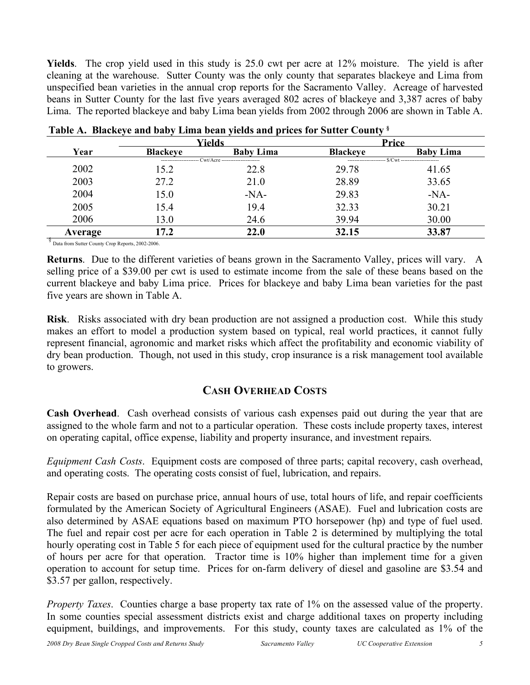**Yields**. The crop yield used in this study is 25.0 cwt per acre at 12% moisture. The yield is after cleaning at the warehouse. Sutter County was the only county that separates blackeye and Lima from unspecified bean varieties in the annual crop reports for the Sacramento Valley. Acreage of harvested beans in Sutter County for the last five years averaged 802 acres of blackeye and 3,387 acres of baby Lima. The reported blackeye and baby Lima bean yields from 2002 through 2006 are shown in Table A.

|         |                 | Yields                                                 |                 | Price                                               |
|---------|-----------------|--------------------------------------------------------|-----------------|-----------------------------------------------------|
| Year    | <b>Blackeve</b> | <b>Baby Lima</b>                                       | <b>Blackeye</b> | <b>Baby Lima</b>                                    |
|         |                 | ---------------------- Cwt/Acre ---------------------- |                 | ---------------------- \$/Cwt --------------------- |
| 2002    | 15.2            | 22.8                                                   | 29.78           | 41.65                                               |
| 2003    | 27.2            | 21.0                                                   | 28.89           | 33.65                                               |
| 2004    | 15.0            | $-NA-$                                                 | 29.83           | $-NA-$                                              |
| 2005    | 15.4            | 19.4                                                   | 32.33           | 30.21                                               |
| 2006    | 13.0            | 24.6                                                   | 39.94           | 30.00                                               |
| Average | 17.2            | 22.0                                                   | 32.15           | 33.87                                               |

| Table A. Blackeye and baby Lima bean yields and prices for Sutter County & |
|----------------------------------------------------------------------------|
|----------------------------------------------------------------------------|

§ Data from Sutter County Crop Reports, 2002-2006.

**Returns**. Due to the different varieties of beans grown in the Sacramento Valley, prices will vary. A selling price of a \$39.00 per cwt is used to estimate income from the sale of these beans based on the current blackeye and baby Lima price. Prices for blackeye and baby Lima bean varieties for the past five years are shown in Table A.

**Risk**. Risks associated with dry bean production are not assigned a production cost. While this study makes an effort to model a production system based on typical, real world practices, it cannot fully represent financial, agronomic and market risks which affect the profitability and economic viability of dry bean production. Though, not used in this study, crop insurance is a risk management tool available to growers.

## **CASH OVERHEAD COSTS**

**Cash Overhead**. Cash overhead consists of various cash expenses paid out during the year that are assigned to the whole farm and not to a particular operation. These costs include property taxes, interest on operating capital, office expense, liability and property insurance, and investment repairs.

*Equipment Cash Costs*. Equipment costs are composed of three parts; capital recovery, cash overhead, and operating costs. The operating costs consist of fuel, lubrication, and repairs.

Repair costs are based on purchase price, annual hours of use, total hours of life, and repair coefficients formulated by the American Society of Agricultural Engineers (ASAE). Fuel and lubrication costs are also determined by ASAE equations based on maximum PTO horsepower (hp) and type of fuel used. The fuel and repair cost per acre for each operation in Table 2 is determined by multiplying the total hourly operating cost in Table 5 for each piece of equipment used for the cultural practice by the number of hours per acre for that operation. Tractor time is 10% higher than implement time for a given operation to account for setup time. Prices for on-farm delivery of diesel and gasoline are \$3.54 and \$3.57 per gallon, respectively.

*Property Taxes*. Counties charge a base property tax rate of 1% on the assessed value of the property. In some counties special assessment districts exist and charge additional taxes on property including equipment, buildings, and improvements. For this study, county taxes are calculated as 1% of the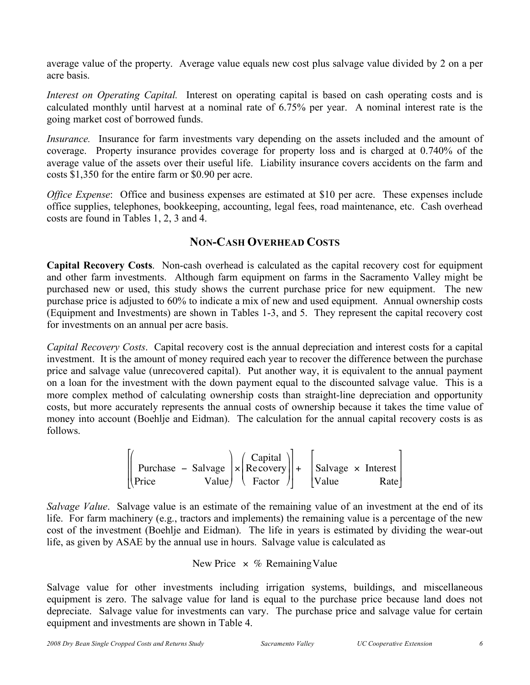average value of the property. Average value equals new cost plus salvage value divided by 2 on a per acre basis.

*Interest on Operating Capital.* Interest on operating capital is based on cash operating costs and is calculated monthly until harvest at a nominal rate of 6.75% per year. A nominal interest rate is the going market cost of borrowed funds.

*Insurance.* Insurance for farm investments vary depending on the assets included and the amount of coverage. Property insurance provides coverage for property loss and is charged at 0.740% of the average value of the assets over their useful life. Liability insurance covers accidents on the farm and costs \$1,350 for the entire farm or \$0.90 per acre.

*Office Expense*: Office and business expenses are estimated at \$10 per acre. These expenses include office supplies, telephones, bookkeeping, accounting, legal fees, road maintenance, etc. Cash overhead costs are found in Tables 1, 2, 3 and 4.

## **NON-CASH OVERHEAD COSTS**

**Capital Recovery Costs**. Non-cash overhead is calculated as the capital recovery cost for equipment and other farm investments. Although farm equipment on farms in the Sacramento Valley might be purchased new or used, this study shows the current purchase price for new equipment. The new purchase price is adjusted to 60% to indicate a mix of new and used equipment. Annual ownership costs (Equipment and Investments) are shown in Tables 1-3, and 5. They represent the capital recovery cost for investments on an annual per acre basis.

*Capital Recovery Costs*. Capital recovery cost is the annual depreciation and interest costs for a capital investment. It is the amount of money required each year to recover the difference between the purchase price and salvage value (unrecovered capital). Put another way, it is equivalent to the annual payment on a loan for the investment with the down payment equal to the discounted salvage value. This is a more complex method of calculating ownership costs than straight-line depreciation and opportunity costs, but more accurately represents the annual costs of ownership because it takes the time value of money into account (Boehlje and Eidman). The calculation for the annual capital recovery costs is as follows.

$$
\begin{bmatrix} \begin{pmatrix} \text{Purchase} & - \text{Salvage} \\ \text{Price} \end{pmatrix} \times \begin{pmatrix} \text{Capital} \\ \text{Recovery} \\ \text{Factor} \end{pmatrix} + \begin{bmatrix} \text{Salvage} \times \text{Interest} \\ \text{Value} \end{bmatrix}
$$

cost of the investment (Boehlje and Eidman). The life in years is estimated by dividing the wear-out *Salvage Value*. Salvage value is an estimate of the remaining value of an investment at the end of its life. For farm machinery (e.g., tractors and implements) the remaining value is a percentage of the new life, as given by ASAE by the annual use in hours. Salvage value is calculated as

## New Price  $\times$  % Remaining Value

depreciate. Salvage value for investments can vary. The purchase price and salvage value for certain Salvage value for other investments including irrigation systems, buildings, and miscellaneous equipment is zero. The salvage value for land is equal to the purchase price because land does not equipment and investments are shown in Table 4.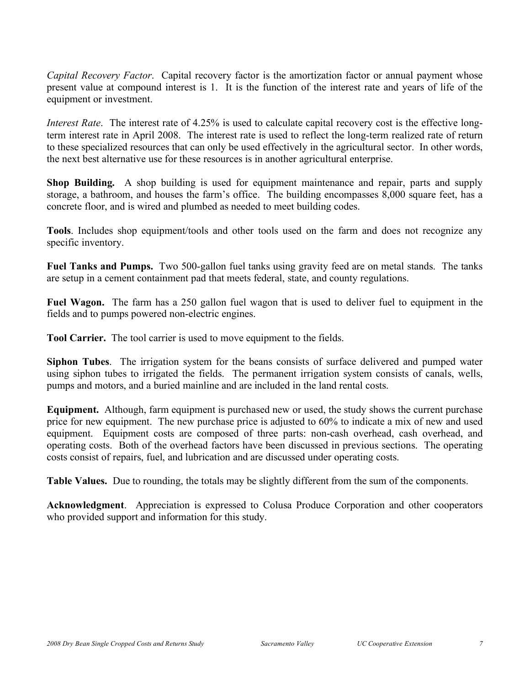*Capital Recovery Factor*. Capital recovery factor is the amortization factor or annual payment whose present value at compound interest is 1. It is the function of the interest rate and years of life of the equipment or investment.

*Interest Rate*. The interest rate of 4.25% is used to calculate capital recovery cost is the effective longterm interest rate in April 2008. The interest rate is used to reflect the long-term realized rate of return to these specialized resources that can only be used effectively in the agricultural sector. In other words, the next best alternative use for these resources is in another agricultural enterprise.

**Shop Building.** A shop building is used for equipment maintenance and repair, parts and supply storage, a bathroom, and houses the farm's office. The building encompasses 8,000 square feet, has a concrete floor, and is wired and plumbed as needed to meet building codes.

**Tools**. Includes shop equipment/tools and other tools used on the farm and does not recognize any specific inventory.

**Fuel Tanks and Pumps.** Two 500-gallon fuel tanks using gravity feed are on metal stands. The tanks are setup in a cement containment pad that meets federal, state, and county regulations.

**Fuel Wagon.** The farm has a 250 gallon fuel wagon that is used to deliver fuel to equipment in the fields and to pumps powered non-electric engines.

**Tool Carrier.** The tool carrier is used to move equipment to the fields.

**Siphon Tubes**. The irrigation system for the beans consists of surface delivered and pumped water using siphon tubes to irrigated the fields. The permanent irrigation system consists of canals, wells, pumps and motors, and a buried mainline and are included in the land rental costs.

**Equipment.** Although, farm equipment is purchased new or used, the study shows the current purchase price for new equipment. The new purchase price is adjusted to 60% to indicate a mix of new and used equipment. Equipment costs are composed of three parts: non-cash overhead, cash overhead, and operating costs. Both of the overhead factors have been discussed in previous sections. The operating costs consist of repairs, fuel, and lubrication and are discussed under operating costs.

**Table Values.** Due to rounding, the totals may be slightly different from the sum of the components.

**Acknowledgment**. Appreciation is expressed to Colusa Produce Corporation and other cooperators who provided support and information for this study.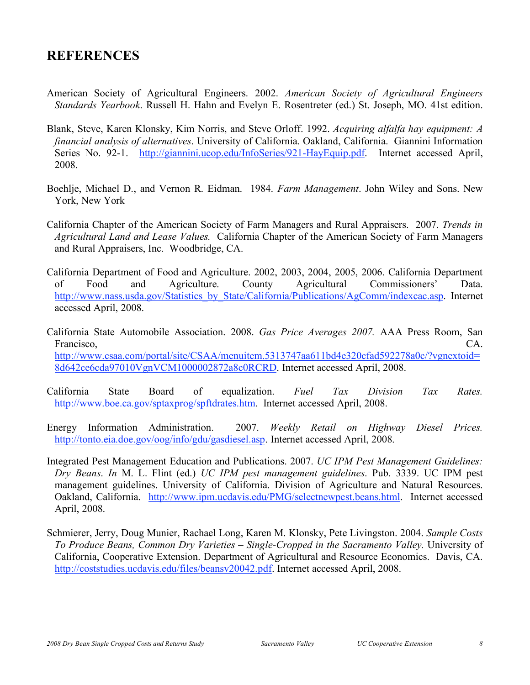## **REFERENCES**

- American Society of Agricultural Engineers. 2002. *American Society of Agricultural Engineers Standards Yearbook*. Russell H. Hahn and Evelyn E. Rosentreter (ed.) St. Joseph, MO. 41st edition.
- Blank, Steve, Karen Klonsky, Kim Norris, and Steve Orloff. 1992. *Acquiring alfalfa hay equipment: A financial analysis of alternatives*. University of California. Oakland, California. Giannini Information Series No. 92-1. http://giannini.ucop.edu/InfoSeries/921-HayEquip.pdf. Internet accessed April, 2008.
- Boehlje, Michael D., and Vernon R. Eidman. 1984. *Farm Management*. John Wiley and Sons. New York, New York
- California Chapter of the American Society of Farm Managers and Rural Appraisers. 2007. *Trends in Agricultural Land and Lease Values.* California Chapter of the American Society of Farm Managers and Rural Appraisers, Inc. Woodbridge, CA.
- California Department of Food and Agriculture. 2002, 2003, 2004, 2005, 2006. California Department of Food and Agriculture. County Agricultural Commissioners' Data. http://www.nass.usda.gov/Statistics\_by\_State/California/Publications/AgComm/indexcac.asp. Internet accessed April, 2008.
- California State Automobile Association. 2008. *Gas Price Averages 2007.* AAA Press Room, San Francisco, CA. http://www.csaa.com/portal/site/CSAA/menuitem.5313747aa611bd4e320cfad592278a0c/?vgnextoid= 8d642ce6cda97010VgnVCM1000002872a8c0RCRD. Internet accessed April, 2008.
- California State Board of equalization. *Fuel Tax Division Tax Rates.* http://www.boe.ca.gov/sptaxprog/spftdrates.htm. Internet accessed April, 2008.
- Energy Information Administration. 2007. *Weekly Retail on Highway Diesel Prices.* http://tonto.eia.doe.gov/oog/info/gdu/gasdiesel.asp. Internet accessed April, 2008.
- Integrated Pest Management Education and Publications. 2007. *UC IPM Pest Management Guidelines: Dry Beans*. *In* M. L. Flint (ed.) *UC IPM pest management guidelines*. Pub. 3339. UC IPM pest management guidelines. University of California. Division of Agriculture and Natural Resources. Oakland, California. http://www.ipm.ucdavis.edu/PMG/selectnewpest.beans.html. Internet accessed April, 2008.
- Schmierer, Jerry, Doug Munier, Rachael Long, Karen M. Klonsky, Pete Livingston. 2004. *Sample Costs To Produce Beans, Common Dry Varieties – Single-Cropped in the Sacramento Valley.* University of California, Cooperative Extension. Department of Agricultural and Resource Economics. Davis, CA. http://coststudies.ucdavis.edu/files/beansv20042.pdf. Internet accessed April, 2008.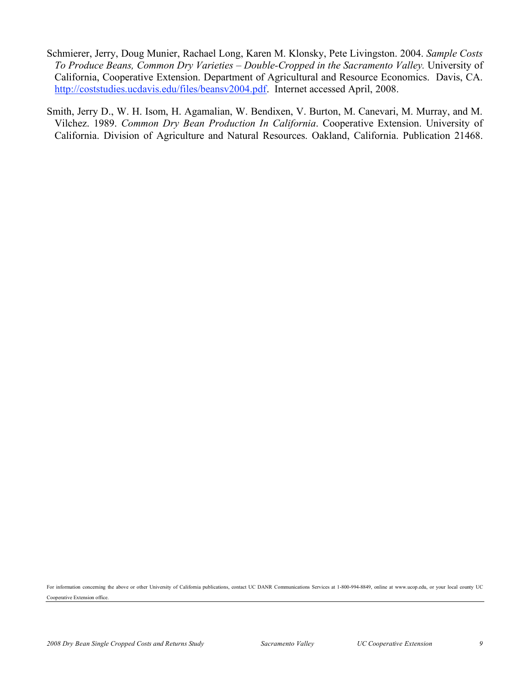- Schmierer, Jerry, Doug Munier, Rachael Long, Karen M. Klonsky, Pete Livingston. 2004. *Sample Costs To Produce Beans, Common Dry Varieties – Double-Cropped in the Sacramento Valley.* University of California, Cooperative Extension. Department of Agricultural and Resource Economics. Davis, CA. http://coststudies.ucdavis.edu/files/beansv2004.pdf. Internet accessed April, 2008.
- Smith, Jerry D., W. H. Isom, H. Agamalian, W. Bendixen, V. Burton, M. Canevari, M. Murray, and M. Vilchez. 1989. *Common Dry Bean Production In California*. Cooperative Extension. University of California. Division of Agriculture and Natural Resources. Oakland, California. Publication 21468.

For information concerning the above or other University of California publications, contact UC DANR Communications Services at 1-800-994-8849, online at www.ucop.edu, or your local county UC Cooperative Extension office.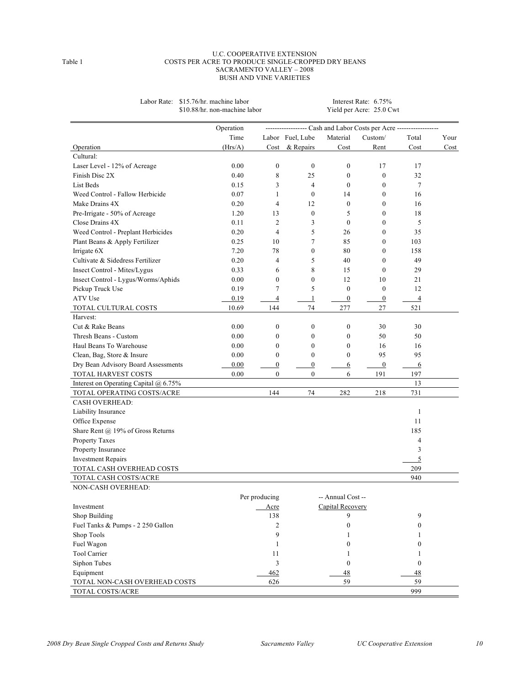#### U.C. COOPERATIVE EXTENSION Table 1 COSTS PER ACRE TO PRODUCE SINGLE-CROPPED DRY BEANS SACRAMENTO VALLEY – 2008 BUSH AND VINE VARIETIES

|                                              | Operation |                  |                  |                   | ----------------- Cash and Labor Costs per Acre ------------------ |                  |      |
|----------------------------------------------|-----------|------------------|------------------|-------------------|--------------------------------------------------------------------|------------------|------|
|                                              | Time      |                  | Labor Fuel, Lube | Material          | Custom/                                                            | Total            | Your |
| Operation                                    | (Hrs/A)   |                  | Cost & Repairs   | Cost              | Rent                                                               | Cost             | Cost |
| Cultural:                                    |           |                  |                  |                   |                                                                    |                  |      |
| Laser Level - 12% of Acreage                 | 0.00      | $\boldsymbol{0}$ | $\mathbf{0}$     | $\boldsymbol{0}$  | 17                                                                 | 17               |      |
| Finish Disc 2X                               | 0.40      | 8                | 25               | $\boldsymbol{0}$  | $\boldsymbol{0}$                                                   | 32               |      |
| List Beds                                    | 0.15      | 3                | $\overline{4}$   | $\boldsymbol{0}$  | $\boldsymbol{0}$                                                   | 7                |      |
| Weed Control - Fallow Herbicide              | 0.07      | $\mathbf{1}$     | $\mathbf{0}$     | 14                | $\mathbf{0}$                                                       | 16               |      |
| Make Drains 4X                               | 0.20      | $\overline{4}$   | 12               | $\boldsymbol{0}$  | $\boldsymbol{0}$                                                   | 16               |      |
| Pre-Irrigate - 50% of Acreage                | 1.20      | 13               | $\boldsymbol{0}$ | 5                 | $\boldsymbol{0}$                                                   | 18               |      |
| Close Drains 4X                              | 0.11      | $\overline{2}$   | 3                | $\mathbf{0}$      | $\mathbf{0}$                                                       | 5                |      |
| Weed Control - Preplant Herbicides           | 0.20      | $\overline{4}$   | 5                | 26                | $\boldsymbol{0}$                                                   | 35               |      |
| Plant Beans & Apply Fertilizer               | 0.25      | 10               | 7                | 85                | $\boldsymbol{0}$                                                   | 103              |      |
| Irrigate 6X                                  | 7.20      | 78               | $\mathbf{0}$     | 80                | $\mathbf{0}$                                                       | 158              |      |
| Cultivate & Sidedress Fertilizer             | 0.20      | $\overline{4}$   | 5                | 40                | $\mathbf{0}$                                                       | 49               |      |
| Insect Control - Mites/Lygus                 | 0.33      | 6                | 8                | 15                | $\boldsymbol{0}$                                                   | 29               |      |
| Insect Control - Lygus/Worms/Aphids          | 0.00      | $\boldsymbol{0}$ | $\mathbf{0}$     | 12                | 10                                                                 | 21               |      |
| Pickup Truck Use                             | 0.19      | 7                | 5                | $\boldsymbol{0}$  | $\boldsymbol{0}$                                                   | 12               |      |
| ATV Use                                      | 0.19      | 4                | 1                | $\boldsymbol{0}$  | $\boldsymbol{0}$                                                   | 4                |      |
| TOTAL CULTURAL COSTS                         | 10.69     | 144              | 74               | 277               | $27\,$                                                             | 521              |      |
| Harvest:                                     |           |                  |                  |                   |                                                                    |                  |      |
| Cut & Rake Beans                             | 0.00      | $\mathbf{0}$     | $\mathbf{0}$     | $\boldsymbol{0}$  | 30                                                                 | 30               |      |
| Thresh Beans - Custom                        | 0.00      | $\boldsymbol{0}$ | $\boldsymbol{0}$ | $\boldsymbol{0}$  | 50                                                                 | 50               |      |
| Haul Beans To Warehouse                      | 0.00      | $\boldsymbol{0}$ | $\boldsymbol{0}$ | $\boldsymbol{0}$  | 16                                                                 | 16               |      |
| Clean, Bag, Store & Insure                   | 0.00      | $\mathbf{0}$     | $\mathbf{0}$     | $\mathbf{0}$      | 95                                                                 | 95               |      |
| Dry Bean Advisory Board Assessments          | 0.00      | $\boldsymbol{0}$ | $\boldsymbol{0}$ | 6                 | $\overline{0}$                                                     | 6                |      |
| TOTAL HARVEST COSTS                          | 0.00      | $\mathbf{0}$     | $\mathbf{0}$     | 6                 | 191                                                                | 197              |      |
| Interest on Operating Capital $\omega$ 6.75% |           |                  |                  |                   |                                                                    | 13               |      |
| TOTAL OPERATING COSTS/ACRE                   |           | 144              | 74               | 282               | 218                                                                | 731              |      |
| <b>CASH OVERHEAD:</b>                        |           |                  |                  |                   |                                                                    |                  |      |
| Liability Insurance                          |           |                  |                  |                   |                                                                    | 1                |      |
| Office Expense                               |           |                  |                  |                   |                                                                    | 11               |      |
| Share Rent @ 19% of Gross Returns            |           |                  |                  |                   |                                                                    | 185              |      |
| Property Taxes                               |           |                  |                  |                   |                                                                    | 4                |      |
| Property Insurance                           |           |                  |                  |                   |                                                                    | 3                |      |
| <b>Investment Repairs</b>                    |           |                  |                  |                   |                                                                    | 5                |      |
| TOTAL CASH OVERHEAD COSTS                    |           |                  |                  |                   |                                                                    | 209              |      |
| TOTAL CASH COSTS/ACRE                        |           |                  |                  |                   |                                                                    | 940              |      |
| NON-CASH OVERHEAD:                           |           |                  |                  |                   |                                                                    |                  |      |
|                                              |           | Per producing    |                  | -- Annual Cost -- |                                                                    |                  |      |
| Investment                                   |           | Acre             |                  | Capital Recovery  |                                                                    |                  |      |
| Shop Building                                |           | 138              |                  | 9                 |                                                                    | 9                |      |
| Fuel Tanks & Pumps - 2 250 Gallon            |           | 2                |                  | $\boldsymbol{0}$  |                                                                    | $\mathbf{0}$     |      |
| Shop Tools                                   |           | 9                |                  | 1                 |                                                                    | 1                |      |
| Fuel Wagon                                   |           | 1                |                  | 0                 |                                                                    | $\mathbf{0}$     |      |
| Tool Carrier                                 |           | 11               |                  | 1                 |                                                                    | 1                |      |
| Siphon Tubes                                 |           | 3                |                  | $\mathbf{0}$      |                                                                    | $\boldsymbol{0}$ |      |
| Equipment                                    |           | 462              |                  | 48                |                                                                    | 48               |      |
| TOTAL NON-CASH OVERHEAD COSTS                |           | 626              |                  | 59                |                                                                    | 59               |      |
| TOTAL COSTS/ACRE                             |           |                  |                  |                   |                                                                    | 999              |      |

Labor Rate: \$15.76/hr. machine labor Interest Rate: 6.75% \$10.88/hr. non-machine labor Yield per Acre: 25.0 Cwt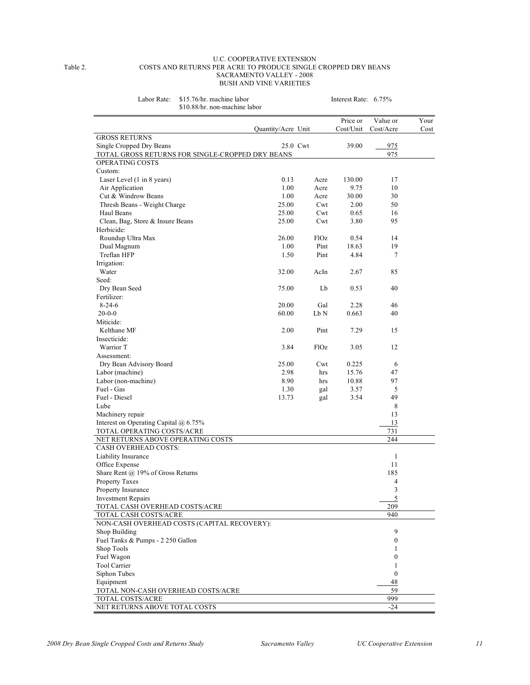#### U.C. COOPERATIVE EXTENSION Table 2. COSTS AND RETURNS PER ACRE TO PRODUCE SINGLE CROPPED DRY BEANS SACRAMENTO VALLEY - 2008 BUSH AND VINE VARIETIES

Labor Rate: \$15.76/hr. machine labor Interest Rate: 6.75%

| \$10.88/hr. non-machine labor                                                |                    |             |           |                  |      |
|------------------------------------------------------------------------------|--------------------|-------------|-----------|------------------|------|
|                                                                              |                    |             | Price or  | Value or         | Your |
|                                                                              | Quantity/Acre Unit |             | Cost/Unit | Cost/Acre        | Cost |
| <b>GROSS RETURNS</b>                                                         |                    |             |           |                  |      |
| Single Cropped Dry Beans<br>TOTAL GROSS RETURNS FOR SINGLE-CROPPED DRY BEANS |                    | 25.0 Cwt    | 39.00     | 975<br>975       |      |
| <b>OPERATING COSTS</b>                                                       |                    |             |           |                  |      |
| Custom:                                                                      |                    |             |           |                  |      |
| Laser Level (1 in 8 years)                                                   | 0.13               | Acre        | 130.00    | 17               |      |
| Air Application                                                              | 1.00               | Acre        | 9.75      | 10               |      |
| Cut & Windrow Beans                                                          | 1.00               | Acre        | 30.00     | 30               |      |
| Thresh Beans - Weight Charge                                                 | 25.00              | Cwt         | 2.00      | 50               |      |
| Haul Beans                                                                   | 25.00              | Cwt         | 0.65      | 16               |      |
| Clean, Bag, Store & Insure Beans                                             | 25.00              | Cwt         | 3.80      | 95               |      |
| Herbicide:                                                                   |                    |             |           |                  |      |
| Roundup Ultra Max                                                            | 26.00              | F1Oz        | 0.54      | 14               |      |
| Dual Magnum                                                                  | 1.00               | Pint        | 18.63     | 19               |      |
| Treflan HFP                                                                  | 1.50               | Pint        | 4.84      | 7                |      |
| Irrigation:                                                                  |                    |             |           |                  |      |
| Water                                                                        | 32.00              | AcIn        | 2.67      | 85               |      |
| Seed:                                                                        |                    |             |           |                  |      |
| Dry Bean Seed                                                                | 75.00              | Lb          | 0.53      | 40               |      |
| Fertilizer:                                                                  |                    |             |           |                  |      |
| $8-24-6$                                                                     | 20.00              | Gal         | 2.28      | 46               |      |
| $20 - 0 - 0$                                                                 | 60.00              | Lb N        | 0.663     | 40               |      |
| Miticide:                                                                    |                    |             |           |                  |      |
| Kelthane MF                                                                  | 2.00               | Pint        | 7.29      | 15               |      |
| Insecticide:                                                                 |                    |             |           |                  |      |
| Warrior T                                                                    | 3.84               | <b>FlOz</b> | 3.05      | 12               |      |
| Assessment:                                                                  |                    |             |           |                  |      |
| Dry Bean Advisory Board                                                      | 25.00              | Cwt         | 0.225     | 6                |      |
| Labor (machine)                                                              | 2.98               | hrs         | 15.76     | 47               |      |
| Labor (non-machine)                                                          | 8.90               | hrs         | 10.88     | 97               |      |
| Fuel - Gas                                                                   | 1.30               | gal         | 3.57      | 5                |      |
| Fuel - Diesel                                                                | 13.73              | gal         | 3.54      | 49               |      |
| Lube                                                                         |                    |             |           | 8                |      |
| Machinery repair                                                             |                    |             |           | 13               |      |
| Interest on Operating Capital @ 6.75%                                        |                    |             |           | 13               |      |
| TOTAL OPERATING COSTS/ACRE                                                   |                    |             |           | 731              |      |
| NET RETURNS ABOVE OPERATING COSTS                                            |                    |             |           | 244              |      |
| <b>CASH OVERHEAD COSTS:</b>                                                  |                    |             |           |                  |      |
| Liability Insurance                                                          |                    |             |           | 1                |      |
| Office Expense                                                               |                    |             |           | 11               |      |
| Share Rent @ 19% of Gross Returns                                            |                    |             |           | 185              |      |
| <b>Property Taxes</b>                                                        |                    |             |           | 4                |      |
| Property Insurance                                                           |                    |             |           | 3                |      |
| <b>Investment Repairs</b>                                                    |                    |             |           | 5                |      |
| TOTAL CASH OVERHEAD COSTS/ACRE                                               |                    |             |           | 209              |      |
| TOTAL CASH COSTS/ACRE                                                        |                    |             |           | 940              |      |
| NON-CASH OVERHEAD COSTS (CAPITAL RECOVERY):                                  |                    |             |           |                  |      |
| Shop Building                                                                |                    |             |           | 9                |      |
| Fuel Tanks & Pumps - 2 250 Gallon                                            |                    |             |           | $\boldsymbol{0}$ |      |
| Shop Tools                                                                   |                    |             |           | 1                |      |
| Fuel Wagon                                                                   |                    |             |           | $\boldsymbol{0}$ |      |
| <b>Tool Carrier</b>                                                          |                    |             |           | 1                |      |
| Siphon Tubes                                                                 |                    |             |           | $\mathbf{0}$     |      |
| Equipment                                                                    |                    |             |           | 48               |      |
| TOTAL NON-CASH OVERHEAD COSTS/ACRE                                           |                    |             |           | 59               |      |
| TOTAL COSTS/ACRE                                                             |                    |             |           | 999              |      |
| NET RETURNS ABOVE TOTAL COSTS                                                |                    |             |           | $-24$            |      |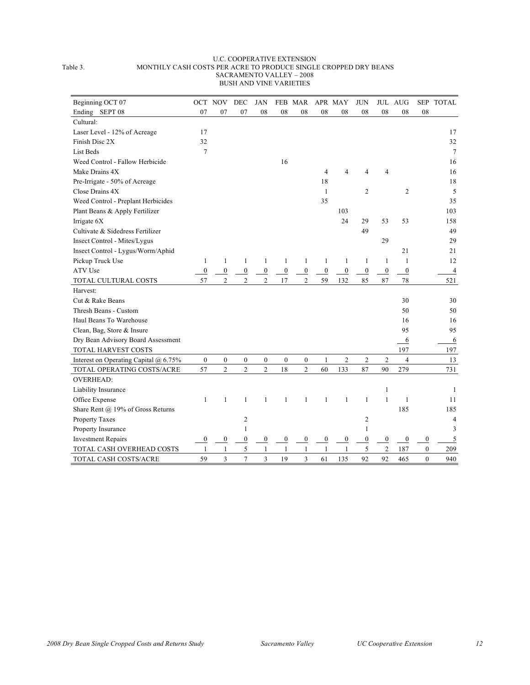#### U.C. COOPERATIVE EXTENSION Table 3. MONTHLY CASH COSTS PER ACRE TO PRODUCE SINGLE CROPPED DRY BEANS SACRAMENTO VALLEY – 2008 BUSH AND VINE VARIETIES

| Beginning OCT 07                      | <b>OCT</b>       | <b>NOV</b>       | DEC              | <b>JAN</b>       |                  | FEB MAR          |                  | APR MAY          | <b>JUN</b>       |                  | JUL AUG          |                  | SEP TOTAL      |
|---------------------------------------|------------------|------------------|------------------|------------------|------------------|------------------|------------------|------------------|------------------|------------------|------------------|------------------|----------------|
| Ending SEPT 08                        | 07               | 07               | 07               | 08               | 08               | 08               | 08               | 08               | 08               | 08               | 08               | 08               |                |
| Cultural:                             |                  |                  |                  |                  |                  |                  |                  |                  |                  |                  |                  |                  |                |
| Laser Level - 12% of Acreage          | 17               |                  |                  |                  |                  |                  |                  |                  |                  |                  |                  |                  | 17             |
| Finish Disc 2X                        | 32               |                  |                  |                  |                  |                  |                  |                  |                  |                  |                  |                  | 32             |
| List Beds                             | $\overline{7}$   |                  |                  |                  |                  |                  |                  |                  |                  |                  |                  |                  | 7              |
| Weed Control - Fallow Herbicide       |                  |                  |                  |                  | 16               |                  |                  |                  |                  |                  |                  |                  | 16             |
| Make Drains 4X                        |                  |                  |                  |                  |                  |                  | 4                | 4                | 4                | 4                |                  |                  | 16             |
| Pre-Irrigate - 50% of Acreage         |                  |                  |                  |                  |                  |                  | 18               |                  |                  |                  |                  |                  | 18             |
| Close Drains 4X                       |                  |                  |                  |                  |                  |                  | $\mathbf{1}$     |                  | 2                |                  | 2                |                  | 5              |
| Weed Control - Preplant Herbicides    |                  |                  |                  |                  |                  |                  | 35               |                  |                  |                  |                  |                  | 35             |
| Plant Beans & Apply Fertilizer        |                  |                  |                  |                  |                  |                  |                  | 103              |                  |                  |                  |                  | 103            |
| Irrigate 6X                           |                  |                  |                  |                  |                  |                  |                  | 24               | 29               | 53               | 53               |                  | 158            |
| Cultivate & Sidedress Fertilizer      |                  |                  |                  |                  |                  |                  |                  |                  | 49               |                  |                  |                  | 49             |
| Insect Control - Mites/Lygus          |                  |                  |                  |                  |                  |                  |                  |                  |                  | 29               |                  |                  | 29             |
| Insect Control - Lygus/Worm/Aphid     |                  |                  |                  |                  |                  |                  |                  |                  |                  |                  | 21               |                  | 21             |
| Pickup Truck Use                      | 1                | 1                | 1                | 1                | 1                | 1                | $\mathbf{1}$     | 1                | 1                | $\mathbf{1}$     | 1                |                  | 12             |
| ATV Use                               | $\boldsymbol{0}$ | $\overline{0}$   | $\overline{0}$   | $\boldsymbol{0}$ | $\boldsymbol{0}$ | $\boldsymbol{0}$ | $\boldsymbol{0}$ | $\boldsymbol{0}$ | $\boldsymbol{0}$ | $\boldsymbol{0}$ | $\overline{0}$   |                  | $\overline{4}$ |
| TOTAL CULTURAL COSTS                  | 57               | $\overline{2}$   | $\overline{c}$   | $\overline{c}$   | 17               | $\overline{2}$   | 59               | 132              | 85               | 87               | 78               |                  | 521            |
| Harvest:                              |                  |                  |                  |                  |                  |                  |                  |                  |                  |                  |                  |                  |                |
| Cut & Rake Beans                      |                  |                  |                  |                  |                  |                  |                  |                  |                  |                  | 30               |                  | 30             |
| Thresh Beans - Custom                 |                  |                  |                  |                  |                  |                  |                  |                  |                  |                  | 50               |                  | 50             |
| Haul Beans To Warehouse               |                  |                  |                  |                  |                  |                  |                  |                  |                  |                  | 16               |                  | 16             |
| Clean, Bag, Store & Insure            |                  |                  |                  |                  |                  |                  |                  |                  |                  |                  | 95               |                  | 95             |
| Dry Bean Advisory Board Assessment    |                  |                  |                  |                  |                  |                  |                  |                  |                  |                  | 6                |                  | 6              |
| TOTAL HARVEST COSTS                   |                  |                  |                  |                  |                  |                  |                  |                  |                  |                  | 197              |                  | 197            |
| Interest on Operating Capital @ 6.75% | $\boldsymbol{0}$ | $\boldsymbol{0}$ | $\boldsymbol{0}$ | $\boldsymbol{0}$ | $\boldsymbol{0}$ | $\boldsymbol{0}$ | $\mathbf{1}$     | $\overline{c}$   | $\overline{c}$   | $\overline{c}$   | $\overline{4}$   |                  | 13             |
| TOTAL OPERATING COSTS/ACRE            | 57               | $\overline{c}$   | $\overline{2}$   | $\overline{2}$   | 18               | $\overline{c}$   | 60               | 133              | 87               | 90               | 279              |                  | 731            |
| <b>OVERHEAD:</b>                      |                  |                  |                  |                  |                  |                  |                  |                  |                  |                  |                  |                  |                |
| Liability Insurance                   |                  |                  |                  |                  |                  |                  |                  |                  |                  | $\mathbf{1}$     |                  |                  | 1              |
| Office Expense                        | 1                | 1                | 1                | 1                | 1                | 1                | 1                | 1                | $\mathbf{1}$     | $\mathbf{1}$     | $\mathbf{1}$     |                  | 11             |
| Share Rent @ 19% of Gross Returns     |                  |                  |                  |                  |                  |                  |                  |                  |                  |                  | 185              |                  | 185            |
| Property Taxes                        |                  |                  | $\overline{c}$   |                  |                  |                  |                  |                  | 2                |                  |                  |                  | $\overline{4}$ |
| Property Insurance                    |                  |                  | 1                |                  |                  |                  |                  |                  | 1                |                  |                  |                  | 3              |
| <b>Investment Repairs</b>             | $\bf{0}$         | $\overline{0}$   | $\overline{0}$   | 0                | $\boldsymbol{0}$ | $\boldsymbol{0}$ | $\boldsymbol{0}$ | $\boldsymbol{0}$ | $\boldsymbol{0}$ | $\boldsymbol{0}$ | $\boldsymbol{0}$ | $\boldsymbol{0}$ | 5              |
| TOTAL CASH OVERHEAD COSTS             | 1                | 1                | 5                | 1                | $\mathbf{1}$     | 1                | 1                |                  | 5                | $\overline{c}$   | 187              | $\mathbf{0}$     | 209            |
| TOTAL CASH COSTS/ACRE                 | 59               | 3                | $\overline{7}$   | 3                | 19               | 3                | 61               | 135              | 92               | 92               | 465              | $\mathbf{0}$     | 940            |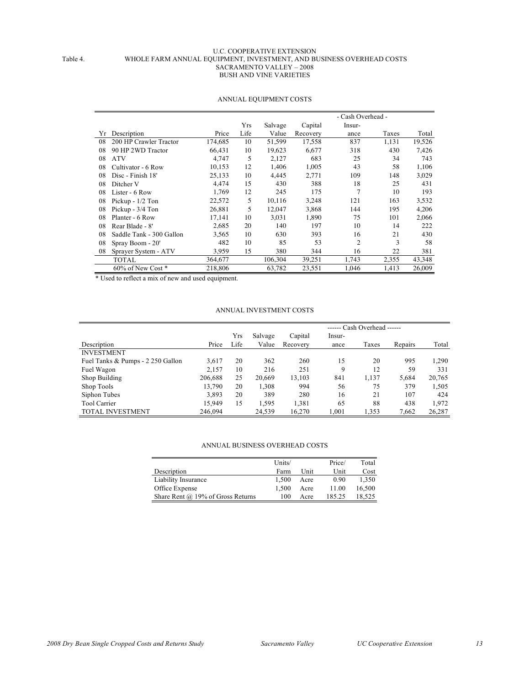#### U.C. COOPERATIVE EXTENSION Table 4. WHOLE FARM ANNUAL EQUIPMENT, INVESTMENT, AND BUSINESS OVERHEAD COSTS SACRAMENTO VALLEY – 2008 BUSH AND VINE VARIETIES

|    |                          |         |      |         |          | - Cash Overhead - |       |        |
|----|--------------------------|---------|------|---------|----------|-------------------|-------|--------|
|    |                          |         | Yrs  | Salvage | Capital  | Insur-            |       |        |
| Yr | Description              | Price   | Life | Value   | Recovery | ance              | Taxes | Total  |
| 08 | 200 HP Crawler Tractor   | 174,685 | 10   | 51,599  | 17,558   | 837               | 1,131 | 19,526 |
| 08 | 90 HP 2WD Tractor        | 66,431  | 10   | 19.623  | 6.677    | 318               | 430   | 7,426  |
| 08 | <b>ATV</b>               | 4,747   | 5    | 2,127   | 683      | 25                | 34    | 743    |
| 08 | Cultivator - 6 Row       | 10,153  | 12   | 1.406   | 1.005    | 43                | 58    | 1,106  |
| 08 | Disc - Finish 18'        | 25,133  | 10   | 4,445   | 2,771    | 109               | 148   | 3,029  |
| 08 | Ditcher V                | 4.474   | 15   | 430     | 388      | 18                | 25    | 431    |
| 08 | Lister - 6 Row           | 1,769   | 12   | 245     | 175      | 7                 | 10    | 193    |
| 08 | Pickup - 1/2 Ton         | 22,572  | 5    | 10.116  | 3,248    | 121               | 163   | 3,532  |
| 08 | Pickup - 3/4 Ton         | 26,881  | 5    | 12.047  | 3.868    | 144               | 195   | 4,206  |
| 08 | Planter - 6 Row          | 17,141  | 10   | 3.031   | 1.890    | 75                | 101   | 2,066  |
| 08 | Rear Blade - 8'          | 2,685   | 20   | 140     | 197      | 10                | 14    | 222    |
| 08 | Saddle Tank - 300 Gallon | 3.565   | 10   | 630     | 393      | 16                | 21    | 430    |
| 08 | Spray Boom - 20'         | 482     | 10   | 85      | 53       | 2                 | 3     | 58     |
| 08 | Sprayer System - ATV     | 3,959   | 15   | 380     | 344      | 16                | 22    | 381    |
|    | <b>TOTAL</b>             | 364,677 |      | 106,304 | 39,251   | 1,743             | 2,355 | 43,348 |
|    | 60% of New Cost *        | 218,806 |      | 63,782  | 23,551   | 1,046             | 1,413 | 26,009 |

#### ANNUAL EQUIPMENT COSTS

\* Used to reflect a mix of new and used equipment.

#### ANNUAL INVESTMENT COSTS

|                                   |         |      |         |          |        | ------ Cash Overhead ------ |         |        |  |  |
|-----------------------------------|---------|------|---------|----------|--------|-----------------------------|---------|--------|--|--|
|                                   |         | Yrs  | Salvage | Capital  | Insur- |                             |         |        |  |  |
| Description                       | Price   | Life | Value   | Recovery | ance   | Taxes                       | Repairs | Total  |  |  |
| <b>INVESTMENT</b>                 |         |      |         |          |        |                             |         |        |  |  |
| Fuel Tanks & Pumps - 2 250 Gallon | 3,617   | 20   | 362     | 260      | 15     | 20                          | 995     | 1.290  |  |  |
| Fuel Wagon                        | 2,157   | 10   | 216     | 251      | 9      | 12                          | 59      | 331    |  |  |
| Shop Building                     | 206,688 | 25   | 20,669  | 13,103   | 841    | 1,137                       | 5,684   | 20,765 |  |  |
| Shop Tools                        | 13,790  | 20   | 1.308   | 994      | 56     | 75                          | 379     | 1,505  |  |  |
| Siphon Tubes                      | 3,893   | 20   | 389     | 280      | 16     | 21                          | 107     | 424    |  |  |
| Tool Carrier                      | 15,949  | 15   | 1.595   | 1,381    | 65     | 88                          | 438     | 1,972  |  |  |
| <b>TOTAL INVESTMENT</b>           | 246,094 |      | 24,539  | 16,270   | 1,001  | 1,353                       | 7,662   | 26,287 |  |  |

#### ANNUAL BUSINESS OVERHEAD COSTS

|                                       | Units/ |      | Price/ | Total  |
|---------------------------------------|--------|------|--------|--------|
| Description                           | Farm   | Unit | Unit   | Cost   |
| Liability Insurance                   | 1.500  | Acre | 0.90   | 1.350  |
| Office Expense                        | 1.500  | Acre | 11.00  | 16.500 |
| Share Rent $(a)$ 19% of Gross Returns | 100    | Acre | 185.25 | 18.525 |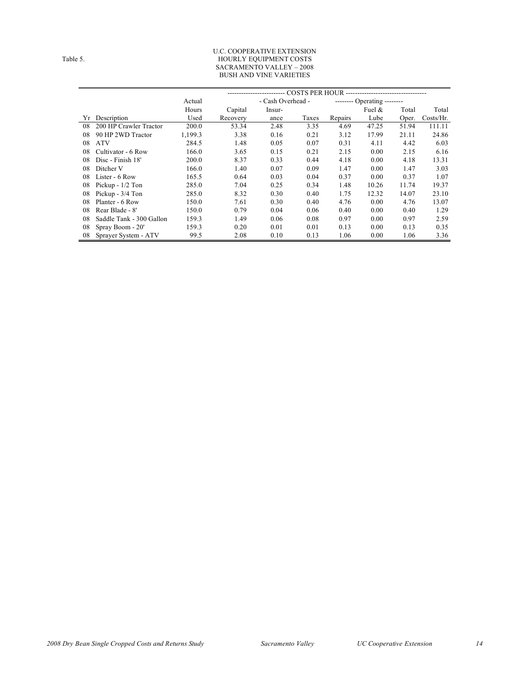#### U.C. COOPERATIVE EXTENSION Table 5. The state of the state of the HOURLY EQUIPMENT COSTS SACRAMENTO VALLEY – 2008 BUSH AND VINE VARIETIES

|    |                          | Actual  |          | - Cash Overhead - |       |         | -------- Operating -------- |       |           |  |
|----|--------------------------|---------|----------|-------------------|-------|---------|-----------------------------|-------|-----------|--|
|    |                          | Hours   | Capital  | Insur-            |       |         | Fuel $\&$                   | Total | Total     |  |
| Υr | Description              | Used    | Recovery | ance              | Taxes | Repairs | Lube                        | Oper. | Costs/Hr. |  |
| 08 | 200 HP Crawler Tractor   | 200.0   | 53.34    | 2.48              | 3.35  | 4.69    | 47.25                       | 51.94 | 111.11    |  |
| 08 | 90 HP 2WD Tractor        | 1,199.3 | 3.38     | 0.16              | 0.21  | 3.12    | 17.99                       | 21.11 | 24.86     |  |
| 08 | <b>ATV</b>               | 284.5   | 1.48     | 0.05              | 0.07  | 0.31    | 4.11                        | 4.42  | 6.03      |  |
| 08 | Cultivator - 6 Row       | 166.0   | 3.65     | 0.15              | 0.21  | 2.15    | 0.00                        | 2.15  | 6.16      |  |
| 08 | Disc - Finish 18'        | 200.0   | 8.37     | 0.33              | 0.44  | 4.18    | 0.00                        | 4.18  | 13.31     |  |
| 08 | Ditcher V                | 166.0   | 1.40     | 0.07              | 0.09  | 1.47    | 0.00                        | 1.47  | 3.03      |  |
| 08 | Lister - 6 Row           | 165.5   | 0.64     | 0.03              | 0.04  | 0.37    | 0.00                        | 0.37  | 1.07      |  |
| 08 | Pickup $-1/2$ Ton        | 285.0   | 7.04     | 0.25              | 0.34  | 1.48    | 10.26                       | 11.74 | 19.37     |  |
| 08 | Pickup - 3/4 Ton         | 285.0   | 8.32     | 0.30              | 0.40  | 1.75    | 12.32                       | 14.07 | 23.10     |  |
| 08 | Planter - 6 Row          | 150.0   | 7.61     | 0.30              | 0.40  | 4.76    | 0.00                        | 4.76  | 13.07     |  |
| 08 | Rear Blade - 8'          | 150.0   | 0.79     | 0.04              | 0.06  | 0.40    | 0.00                        | 0.40  | 1.29      |  |
| 08 | Saddle Tank - 300 Gallon | 159.3   | 1.49     | 0.06              | 0.08  | 0.97    | 0.00                        | 0.97  | 2.59      |  |
| 08 | Spray Boom - 20'         | 159.3   | 0.20     | 0.01              | 0.01  | 0.13    | 0.00                        | 0.13  | 0.35      |  |
| 08 | Sprayer System - ATV     | 99.5    | 2.08     | 0.10              | 0.13  | 1.06    | 0.00                        | 1.06  | 3.36      |  |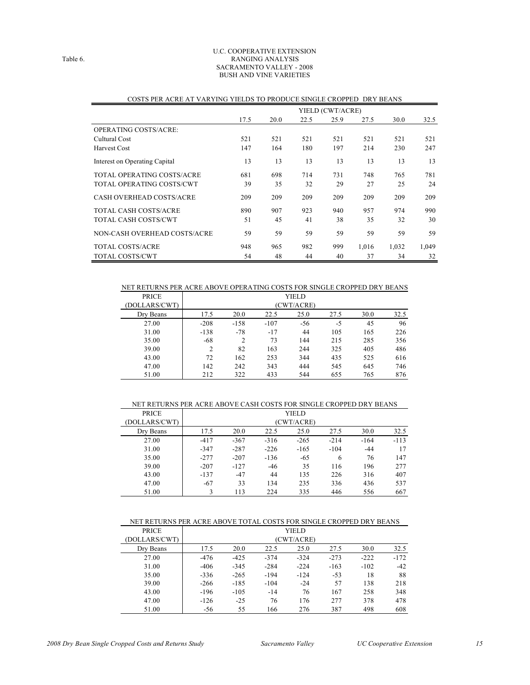#### U.C. COOPERATIVE EXTENSION Table 6. RANGING ANALYSIS SACRAMENTO VALLEY - 2008 BUSH AND VINE VARIETIES

|                                 | YIELD (CWT/ACRE) |      |      |      |       |       |       |  |  |
|---------------------------------|------------------|------|------|------|-------|-------|-------|--|--|
|                                 | 17.5             | 20.0 | 22.5 | 25.9 | 27.5  | 30.0  | 32.5  |  |  |
| OPERATING COSTS/ACRE:           |                  |      |      |      |       |       |       |  |  |
| Cultural Cost                   | 521              | 521  | 521  | 521  | 521   | 521   | 521   |  |  |
| <b>Harvest Cost</b>             | 147              | 164  | 180  | 197  | 214   | 230   | 247   |  |  |
| Interest on Operating Capital   | 13               | 13   | 13   | 13   | 13    | 13    | 13    |  |  |
| TOTAL OPERATING COSTS/ACRE      | 681              | 698  | 714  | 731  | 748   | 765   | 781   |  |  |
| TOTAL OPERATING COSTS/CWT       | 39               | 35   | 32   | 29   | 27    | 25    | 24    |  |  |
| <b>CASH OVERHEAD COSTS/ACRE</b> | 209              | 209  | 209  | 209  | 209   | 209   | 209   |  |  |
| TOTAL CASH COSTS/ACRE           | 890              | 907  | 923  | 940  | 957   | 974   | 990   |  |  |
| TOTAL CASH COSTS/CWT            | 51               | 45   | 41   | 38   | 35    | 32    | 30    |  |  |
| NON-CASH OVERHEAD COSTS/ACRE    | 59               | 59   | 59   | 59   | 59    | 59    | 59    |  |  |
| <b>TOTAL COSTS/ACRE</b>         | 948              | 965  | 982  | 999  | 1,016 | 1,032 | 1,049 |  |  |
| <b>TOTAL COSTS/CWT</b>          | 54               | 48   | 44   | 40   | 37    | 34    | 32    |  |  |

#### COSTS PER ACRE AT VARYING YIELDS TO PRODUCE SINGLE CROPPED DRY BEANS

#### NET RETURNS PER ACRE ABOVE OPERATING COSTS FOR SINGLE CROPPED DRY BEANS

| <b>PRICE</b>  |                |        |        | YIELD      |      |      |      |
|---------------|----------------|--------|--------|------------|------|------|------|
| (DOLLARS/CWT) |                |        |        | (CWT/ACRE) |      |      |      |
| Dry Beans     | 17.5           | 20.0   | 22.5   | 25.0       | 27.5 | 30.0 | 32.5 |
| 27.00         | $-208$         | $-158$ | $-107$ | $-56$      | $-5$ | 45   | 96   |
| 31.00         | $-138$         | $-78$  | $-17$  | 44         | 105  | 165  | 226  |
| 35.00         | $-68$          | 2      | 73     | 144        | 215  | 285  | 356  |
| 39.00         | $\overline{c}$ | 82     | 163    | 244        | 325  | 405  | 486  |
| 43.00         | 72             | 162    | 253    | 344        | 435  | 525  | 616  |
| 47.00         | 142            | 242    | 343    | 444        | 545  | 645  | 746  |
| 51.00         | 212            | 322    | 433    | 544        | 655  | 765  | 876  |

#### NET RETURNS PER ACRE ABOVE CASH COSTS FOR SINGLE CROPPED DRY BEANS

| <b>PRICE</b>  |        |        |        | YIELD      |        |        |        |
|---------------|--------|--------|--------|------------|--------|--------|--------|
| (DOLLARS/CWT) |        |        |        | (CWT/ACRE) |        |        |        |
| Dry Beans     | 17.5   | 20.0   | 22.5   | 25.0       | 27.5   | 30.0   | 32.5   |
| 27.00         | $-417$ | $-367$ | $-316$ | $-265$     | $-214$ | $-164$ | $-113$ |
| 31.00         | $-347$ | $-287$ | $-226$ | $-165$     | $-104$ | $-44$  | 17     |
| 35.00         | $-277$ | $-207$ | $-136$ | $-65$      | 6      | 76     | 147    |
| 39.00         | $-207$ | $-127$ | $-46$  | 35         | 116    | 196    | 277    |
| 43.00         | $-137$ | $-47$  | 44     | 135        | 226    | 316    | 407    |
| 47.00         | $-67$  | 33     | 134    | 235        | 336    | 436    | 537    |
| 51.00         |        | 113    | 224    | 335        | 446    | 556    | 667    |

#### NET RETURNS PER ACRE ABOVE TOTAL COSTS FOR SINGLE CROPPED DRY BEANS

| <b>PRICE</b>  |        |        |        | YIELD      |        |        |        |
|---------------|--------|--------|--------|------------|--------|--------|--------|
| (DOLLARS/CWT) |        |        |        | (CWT/ACRE) |        |        |        |
| Dry Beans     | 17.5   | 20.0   | 22.5   | 25.0       | 27.5   | 30.0   | 32.5   |
| 27.00         | $-476$ | $-425$ | $-374$ | $-324$     | $-273$ | $-222$ | $-172$ |
| 31.00         | $-406$ | $-345$ | $-284$ | $-224$     | $-163$ | $-102$ | $-42$  |
| 35.00         | $-336$ | $-265$ | $-194$ | $-124$     | $-53$  | 18     | 88     |
| 39.00         | $-266$ | $-185$ | $-104$ | $-24$      | 57     | 138    | 218    |
| 43.00         | $-196$ | $-105$ | $-14$  | 76         | 167    | 258    | 348    |
| 47.00         | $-126$ | $-25$  | 76     | 176        | 277    | 378    | 478    |
| 51.00         | $-56$  | 55     | 166    | 276        | 387    | 498    | 608    |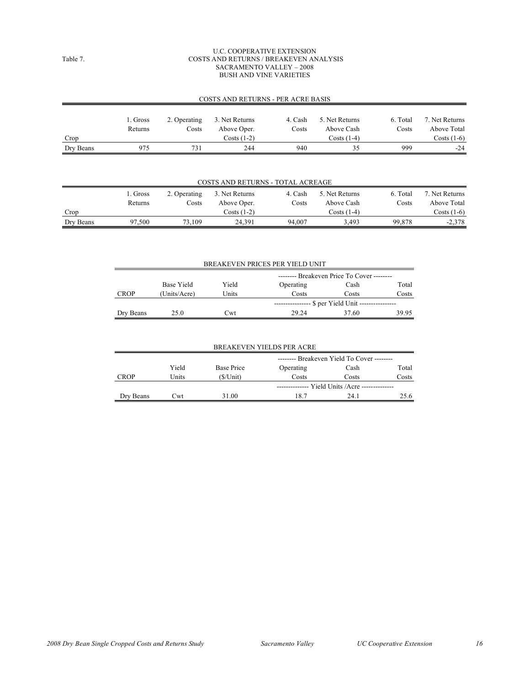#### U.C. COOPERATIVE EXTENSION Table 7. COSTS AND RETURNS / BREAKEVEN ANALYSIS SACRAMENTO VALLEY – 2008 BUSH AND VINE VARIETIES

#### COSTS AND RETURNS - PER ACRE BASIS

|           | 1. Gross | 2. Operating | 3. Net Returns | 4. Cash | 5. Net Returns | 6. Total | 7. Net Returns |
|-----------|----------|--------------|----------------|---------|----------------|----------|----------------|
|           | Returns  | Costs        | Above Oper.    | Costs   | Above Cash     | Costs    | Above Total    |
| Crop      |          |              | $Costs(1-2)$   |         | $Costs(1-4)$   |          | $Costs(1-6)$   |
| Dry Beans | 975      | 731          | 244            | 940     | 35             | 999      | $-24$          |

| <b>COSTS AND RETURNS - TOTAL ACREAGE</b> |          |              |                |         |                |          |                |  |
|------------------------------------------|----------|--------------|----------------|---------|----------------|----------|----------------|--|
|                                          | 1. Gross | 2. Operating | 3. Net Returns | 4. Cash | 5. Net Returns | 6. Total | 7. Net Returns |  |
|                                          | Returns  | Costs        | Above Oper.    | Costs   | Above Cash     | Costs    | Above Total    |  |
| Crop                                     |          |              | $Costs(1-2)$   |         | Costs (1-4)    |          | $Costs(1-6)$   |  |
| Dry Beans                                | 97,500   | 73.109       | 24.391         | 94.007  | 3.493          | 99,878   | $-2,378$       |  |

| BREAKEVEN PRICES PER YIELD UNIT |              |                                            |           |       |       |  |  |  |  |
|---------------------------------|--------------|--------------------------------------------|-----------|-------|-------|--|--|--|--|
|                                 |              | -------- Breakeven Price To Cover -------- |           |       |       |  |  |  |  |
|                                 | Base Yield   | Yield                                      | Operating | Cash  | Total |  |  |  |  |
| CROP                            | (Units/Acre) | Units                                      | Costs     | Costs | Costs |  |  |  |  |
|                                 |              | . \$ per Yield Unit -----                  |           |       |       |  |  |  |  |
| Dry Beans                       | 25.0         | Cwt                                        | 29.24     | 37.60 | 39.95 |  |  |  |  |

| <b>BREAKEVEN YIELDS PER ACRE</b> |       |                                            |                                                 |       |       |  |  |  |
|----------------------------------|-------|--------------------------------------------|-------------------------------------------------|-------|-------|--|--|--|
|                                  |       | -------- Breakeven Yield To Cover -------- |                                                 |       |       |  |  |  |
|                                  | Yield | <b>Base Price</b>                          | Operating                                       | Cash  | Total |  |  |  |
| <b>CROP</b>                      | Units | $(S/U$ nit)                                | Costs                                           | Costs | Costs |  |  |  |
|                                  |       |                                            | ------------- Yield Units / Acre -------------- |       |       |  |  |  |
| Dry Beans                        | L`wt  | 31.00                                      | 18.7                                            | 24.1  | 25.6  |  |  |  |